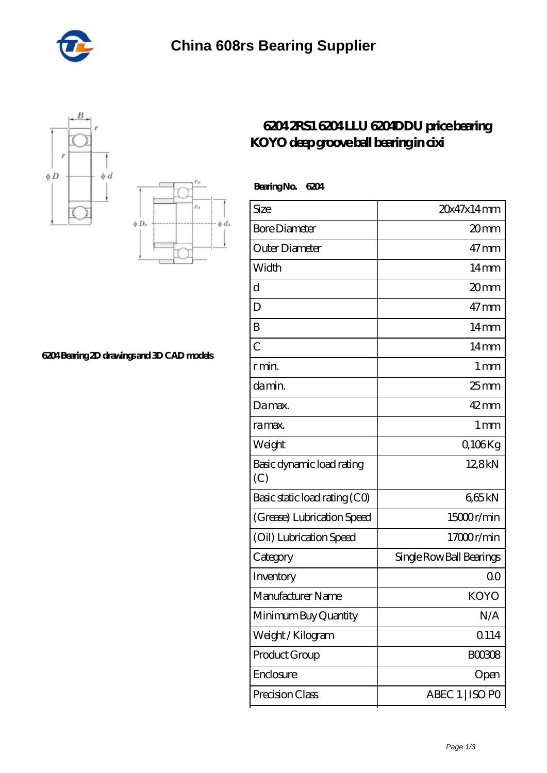





## **[6204 Bearing 2D drawings and 3D CAD models](https://m.gbaguidipelagie.com/pic-675542.html)**

## **[6204 2RS1 6204 LLU 6204DDU price bearing](https://m.gbaguidipelagie.com/6204ddu-bearing/675542.html) [KOYO deep groove ball bearing in cixi](https://m.gbaguidipelagie.com/6204ddu-bearing/675542.html)**

| BearingNo.<br>6204               |                          |
|----------------------------------|--------------------------|
| Size                             | 20x47x14mm               |
| <b>Bore Diameter</b>             | 20 <sub>mm</sub>         |
| Outer Diameter                   | 47mm                     |
| Width                            | $14 \text{mm}$           |
| $\mathbf d$                      | 20mm                     |
| D                                | $47$ mm                  |
| B                                | $14 \text{mm}$           |
| $\overline{C}$                   | $14 \text{mm}$           |
| r min.                           | 1 <sub>mm</sub>          |
| da min.                          | $25 \text{mm}$           |
| Damax.                           | $42$ mm                  |
| ra max.                          | 1 <sub>mm</sub>          |
| Weight                           | Q106Kg                   |
| Basic dynamic load rating<br>(C) | 12,8kN                   |
| Basic static load rating (CO)    | 665kN                    |
| (Grease) Lubrication Speed       | 15000r/min               |
| (Oil) Lubrication Speed          | 17000r/min               |
| Category                         | Single Row Ball Bearings |
| Inventory                        | 0 <sup>0</sup>           |
| Manufacturer Name                | KOYO                     |
| Minimum Buy Quantity             | N/A                      |
| Weight / Kilogram                | 0114                     |
| Product Group                    | <b>BOO3O8</b>            |
| Enclosure                        | Open                     |
| Precision Class                  | ABEC 1   ISO PO          |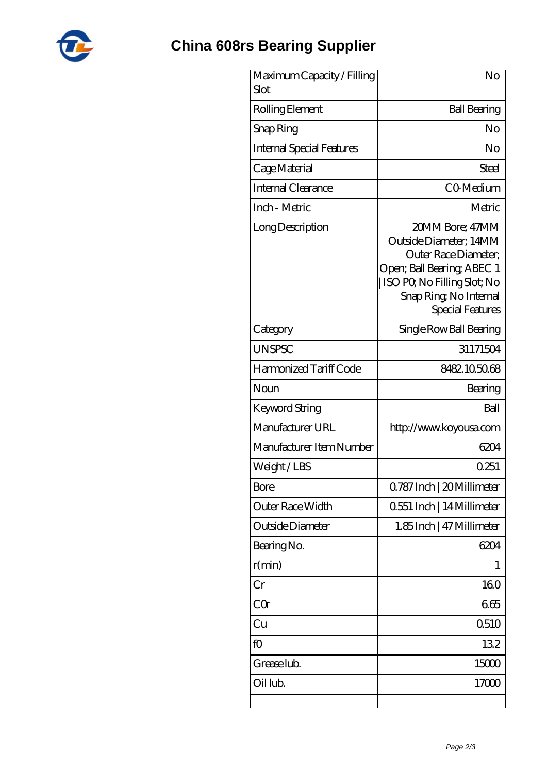

## **[China 608rs Bearing Supplier](https://m.gbaguidipelagie.com)**

| Maximum Capacity / Filling<br>Slot | No                                                                                                                                                                           |
|------------------------------------|------------------------------------------------------------------------------------------------------------------------------------------------------------------------------|
| Rolling Element                    | <b>Ball Bearing</b>                                                                                                                                                          |
| Snap Ring                          | No                                                                                                                                                                           |
| <b>Internal Special Features</b>   | No                                                                                                                                                                           |
| Cage Material                      | Steel                                                                                                                                                                        |
| Internal Clearance                 | CO-Medium                                                                                                                                                                    |
| Inch - Metric                      | Metric                                                                                                                                                                       |
| Long Description                   | 20MM Bore; 47MM<br>Outside Diameter; 14MM<br>Outer Race Diameter;<br>Open; Ball Bearing; ABEC 1<br>ISO PO, No Filling Slot; No<br>Snap Ring, No Internal<br>Special Features |
| Category                           | Single Row Ball Bearing                                                                                                                                                      |
| <b>UNSPSC</b>                      | 31171504                                                                                                                                                                     |
| Harmonized Tariff Code             | 8482105068                                                                                                                                                                   |
| Noun                               | Bearing                                                                                                                                                                      |
| Keyword String                     | Ball                                                                                                                                                                         |
| Manufacturer URL                   | http://www.koyousa.com                                                                                                                                                       |
| Manufacturer Item Number           | 6204                                                                                                                                                                         |
| Weight/LBS                         | 0.251                                                                                                                                                                        |
| Bore                               | Q787 Inch   20 Millimeter                                                                                                                                                    |
| Outer Race Width                   | 0.551 Inch   14 Millimeter                                                                                                                                                   |
| Outside Diameter                   | 1.85 Inch   47 Millimeter                                                                                                                                                    |
| Bearing No.                        | 6204                                                                                                                                                                         |
| r(min)                             | L                                                                                                                                                                            |
| Cr                                 | 160                                                                                                                                                                          |
| CQ                                 | 665                                                                                                                                                                          |
| Cu                                 | Q510                                                                                                                                                                         |
| fO                                 | 132                                                                                                                                                                          |
| Grease lub.                        | 15000                                                                                                                                                                        |
| Oil lub.                           | 17000                                                                                                                                                                        |
|                                    |                                                                                                                                                                              |